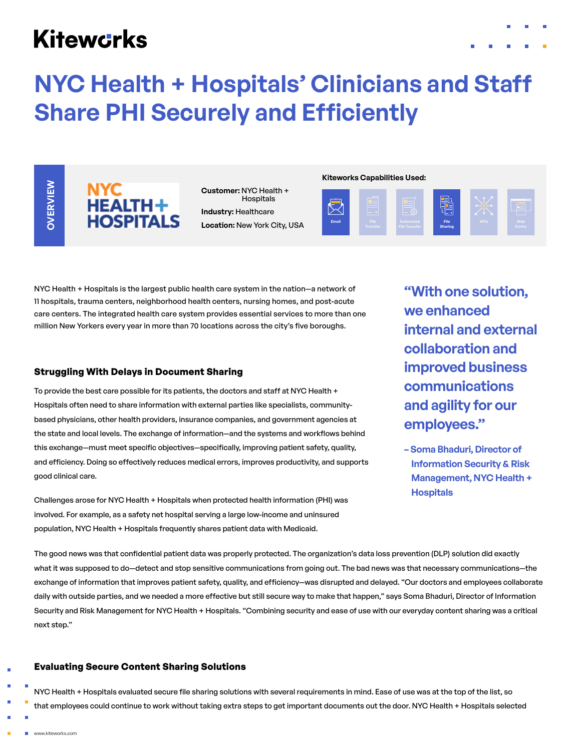# **Kitewcrks**





# **NYC HEALTH+ HOSPITALS**

**Customer:** NYC Health + Hospitals **Industry:** Healthcare **Location:** New York City, USA

#### **Kiteworks Capabilities Used:**



NYC Health + Hospitals is the largest public health care system in the nation—a network of 11 hospitals, trauma centers, neighborhood health centers, nursing homes, and post-acute care centers. The integrated health care system provides essential services to more than one million New Yorkers every year in more than 70 locations across the city's five boroughs.

## **Struggling With Delays in Document Sharing**

To provide the best care possible for its patients, the doctors and staff at NYC Health + Hospitals often need to share information with external parties like specialists, communitybased physicians, other health providers, insurance companies, and government agencies at the state and local levels. The exchange of information—and the systems and workflows behind this exchange—must meet specific objectives—specifically, improving patient safety, quality, and efficiency. Doing so effectively reduces medical errors, improves productivity, and supports good clinical care.

Challenges arose for NYC Health + Hospitals when protected health information (PHI) was involved. For example, as a safety net hospital serving a large low-income and uninsured population, NYC Health + Hospitals frequently shares patient data with Medicaid.

**"With one solution, we enhanced internal and external collaboration and improved business communications and agility for our employees."**

**– Soma Bhaduri, Director of Information Security & Risk Management, NYC Health + Hospitals**

The good news was that confidential patient data was properly protected. The organization's data loss prevention (DLP) solution did exactly what it was supposed to do—detect and stop sensitive communications from going out. The bad news was that necessary communications—the exchange of information that improves patient safety, quality, and efficiency—was disrupted and delayed. "Our doctors and employees collaborate daily with outside parties, and we needed a more effective but still secure way to make that happen," says Soma Bhaduri, Director of Information Security and Risk Management for NYC Health + Hospitals. "Combining security and ease of use with our everyday content sharing was a critical next step."

## **Evaluating Secure Content Sharing Solutions**

NYC Health + Hospitals evaluated secure file sharing solutions with several requirements in mind. Ease of use was at the top of the list, so that employees could continue to work without taking extra steps to get important documents out the door. NYC Health + Hospitals selected